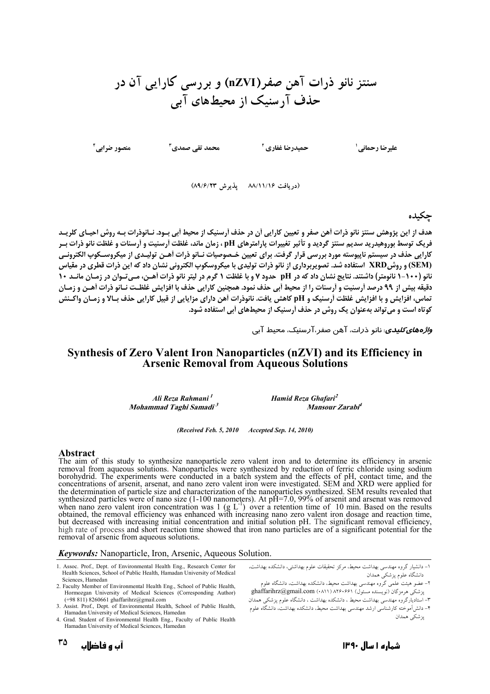سنتز نانو ذرات آهن صفر(nZVI) و بررسی کارایی آن در حذف آرسنیک از محیطهای آبی

حميدرضا غفاري آ

عليرضا رحماني '

محمد تقی صمدی<sup>۳</sup>

منصور ضرابي آ

(دريافت ۸۸/۱۱/۱۶ يذيرش ۸۹/۶/۲۳)

### حكىدە

هدف از این پژوهش سنتز نانو ذرات آهن صفر و تعیین کارایی آن در حذف آرسنیک از محیط آبی بـود. نــانوذرات بـه روش احیـای کلریــد فریک توسط بوروهیدرید سدیم سنتز گردید و تأثیر تغییرات پارامترهای pH ، زمان ماند، غلظت آرسنیت و آرسنات و غلظت نانو ذرات بـر کارایی حذف در سیستم ناپیوسته مورد بررسی قرار گرفت. برای تعیین خـصوصیات نــانو ذرات آهــن تولیــدی از میکروســکوپ الکترونــی (SEM) و روشXRD استفاده شد. تصویربرداری از نانو ذرات تولیدی با میکروسکوپ الکترونی نشان داد که این ذرات قطری در مقیاس نانو (۱۰۰−۱ نانومتر) داشتند. نتایج نشان داد که در pH حدود ۷ و با غلظت ۱ گرم در لیتر نانو ذرات اَهـن، مـی تـوان در زمـان مانـد ۱۰ دقیقه بیش از ۹۹ درصد آرسنیت و آرسنات را از محیط آبی حذف نمود. همچنین کارایی حذف با افزایش غلظت نـانو ذرات آهـن و زمـان تماس، افزايش و با افزايش غلظت أرسنيك و pH كاهش يافت. نانوذرات أهن داراي مزايايي از قبيل كارايي حذف بـالا و زمـان واكـنش کوتاه است و می تواند بهعنوان یک روش در حذف اَرسنیک از محیطهای اَبی استفاده شود.

و*اژههای کلیدی*. نانو ذرات، آهن صفر،آرسنیک، محیط آبی

### Synthesis of Zero Valent Iron Nanoparticles (nZVI) and its Efficiency in **Arsenic Removal from Aqueous Solutions**

Ali Reza Rahmani<sup>1</sup> Mohammad Taghi Samadi<sup>3</sup> Hamid Reza Ghafari<sup>2</sup> Mansour Zarabi<sup>4</sup>

#### (Received Feb. 5, 2010 Accepted Sep. 14, 2010)

#### Abstract

The aim of this study to synthesize nanoparticle zero valent iron and to determine its efficiency in arsenic removal from aqueous solutions. Nanoparticles were synthesized by reduction of ferric chloride using sodium borohydrid. The experiments were conducted in a batch system and the effects of pH, contact time, and the concentrations of arsenit, arsenat, and nano zero valent iron were investigated. SEM and XRD were applied for the determination of particle size and characterization of the nanoparticles synthesized. SEM results revealed that<br>synthesized particles were of nano size (1-100 nanometers). At pH=7.0, 99% of arsenit and arsenat was rem when hand zero valent non concentration was  $\frac{1}{8}$   $\frac{1}{2}$   $\frac{1}{2}$  over a retention line of 10 him. Based on the results obtained, the removal efficiency was enhanced with increasing nano zero valent iron dosage an high rate of process and short reaction time showed that iron nano particles are of a significant potential for the removal of arsenic from aqueous solutions.

#### Keywords: Nanoparticle, Iron, Arsenic, Aqueous Solution.

- 1. Assoc. Prof., Dept. of Environmental Health Eng., Research Center for Health Sciences, School of Public Health, Hamadan University of Medical Sciences, Hamedan
- 2. Faculty Member of Environmental Health Eng., School of Public Health, Hormozgan University of Medical Sciences (Corresponding Author)<br>
(+98 811) 8260661 ghaffarihrz@gmail.com
- 3. Assist. Prof., Dept. of Environmental Health, School of Public Health, Hamadan University of Medical Sciences, Hamedan
- 4. Grad. Student of Environmental Health Eng., Faculty of Public Health Hamadan University of Medical Sciences, Hamedan

١- دانشيار گروه مهندسي بهداشت محيط، مركز تحقيقات علوم بهداشتي، دانشكده بهداشت، ۔<br>دانشگاه علوم یزشکی همدان

ر <sub>ا ب</sub>ر – ی سبب سعی مست.<br>۲- عضوِ هیئت عِلمی گروه مهندسی بهداشت محیط، دانشکده بهداشت، دانشگاه علوم پزشکی هرمزگان (نویسنده مسئول) ۱۸۲۶۰۶۶۱ (Anaffarihrz@gmail.com (۰۸۱۱) ۳– استادیارگروه مهندسی بهداشت محیط ، دانشکده بهداشت ، دانشگاه علوم پزشکی همدان ۴– دانش اَموخته کارشناسی ارشد مهندسی بهداشت محیط، دانشکده بهداشت، دانشگاه علوم ۔<br>بزشکے ہمدان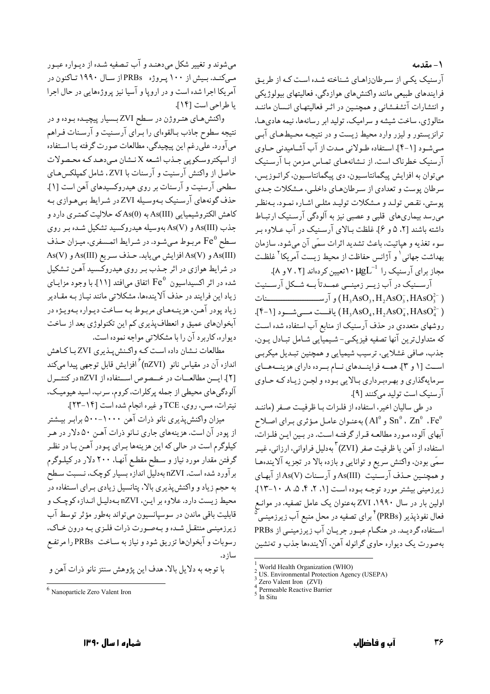۱ – مقدمه

آرسنیک یکبی از سرطانزاهـای شـناخته شـده اسـت کـه از طریـق فرایندهای طبیعی مانند واکنش های هوازدگی، فعالیتهای بیولوژیکی و انتشارات آتشفـشاني و همچنـین در اثـر فعالیتهـای انـسان ماننـد متالوژي، ساخت شيشه و سراميک، توليد ابر رسانهها، نيمه هادي هـا، ترانزیستور و لیزر وارد محیط زیست و در نتیجـه محـیطهـای آبـی مبي شـود [١-۴]. اسـتفاده طـولاني مـدت از آب آشـاميدني حـاوي آرسنیک خطرناک است. از نـشانههـای تمـاس مـزمن بـا آرسـنیک مي توان به افزايش پيگمانتاسيون، دي پيگمانتاسيون، كراتـوزيس، سرطان پوست و تعدادي از سرطان هاي داخلي، مشكلات جدي پوستي، نقص تولـد و مـشكلات توليـد مثلـي اشـاره نمـود. بـهنظـر می رسد بیماریهای قلبی و عصبی نیز به آلودگی آرسنیک ارتبـاط داشته باشند [۲، ۵ و ۶]. غلظت بـالای آرسـنیک در آب عـلاوه بـر سوء تغذيه و هپاتيت، باعث تشديد اثرات سمّى آن مىشود. سازمان بهداشت جهاني` و آژانس حفاظت از محیط زیست آمریکا<sup>۲</sup> غلظت مجاز برای آرسنیک را ۱۰µgL<sup>-1</sup> تعیین کردهاند [۲ ، ۷ و ۸].

آرســنیک در آب زیــر زمینــی عمــدتاً بــه شــکل آرســنیت  $\mathcal{F}(-1]$  يافت مسي شعود  $(H, AsO_4, H, AsO_4^2, HAsO_4^2)$ . روشهای متعددی در حذف آرسنیک از منابع آب استفاده شده است که متداولترین آنها تصفیه فیزیکـی- شـیمیایی شـامل تبـادل یـون. جذب، صافي غشلايي، ترسيب شيميايي و همچنين تبـديل ميكربـي است [۱ و ۳]. همـه فراینــدهای نــام بــرده دارای هزینــههــای سرمايهگذاري و بهرهبرداري بـالايي بـوده و لجـن زيـاد كـه حـاوي آر سنیک است تولید میکنند [۹].

در طی سالیان اخیر، استفاده از فلزات با ظرفیت صفر (ماننـد و Al° به عنوان عامل مؤثري براي اصلاح Snº . Znº .Fe آبهای آلوده مـورد مطالعـه قـرار گرفتـه اسـت. در بـین ایـن فلـزاتّ. استفاده از آهن با ظرفیت صفر (ZVI)<sup>۳</sup> بهدلیل فراوانی، ارزانی، غیبر سمّى بودن، واكنش سريع و توانايي و بازده بالا در تجزيه آلايندهما و همچنـین حـذف آرسـنیت As(III) و آرسـنات (As(V از آبهـای زیرزمینی بیشتر مورد توجه بـوده اسـت [۰، ۲، ۴، ۵، ۸، ۱۰-۱۳]. .<br>اولین بار در سال ۱۹۹۰، ZVI بهعنوان یک عامل تصفیه. در موانـع فعال نفوذپذیر (PRBs)<sup>۴</sup> برای تصفیه در محل منبع آب زیرزمینـی<sup>آ</sup> استفاده گردیـد. در هنگـام عبـور جریـان آب زیرومینـی از PRBs بهصورت یک دیواره حاوی گرانوله آهن، آلایندهها جذب و تهنشین

واکنشهای هتروژن در سطح ZVI بسیار پیچیده بوده و در نتیجه سطوح جاذب بـالقوهای را بـرای آرسـنیت و آرسـنات فـراهم میآورد. علّیرغم این پیچیدگی، مطالعات صورت گرفته بـا اسـتفاده از اسيكتروسكويي جـذب اشـعه X نـشان مـى دهـد كـه محـصولات حاصل از واکنش آرسنیت و آرسنات با ZVI، شامل کمپلکسهای سطحی آرسنیت و آرسنات بر روی هیدروکسیدهای آهن است [۱]. حذف گونههای آرسـنیک بـهوسـیله ZVIدر شـرایط بـی هـوازی بـه كاهش الكتروشيميايي (As(III به (As(0) كه حلاليت كمتـرى دارد و جذب (As(III) و (As(V) بهوسیله هیدروکسید تشکیل شـده بـر روی سطح Feº مربوط میشود. در شـرایط اتمـسفری، میـزان حـذف As(III) و As(V) افزايش مي يابد. حـذف سـريع As(III) و As(V) در شرایط هوازی در اثر جـذب بـر روی هیدروکـسید آهـن تـشکیل شده در اثر اکسیداسیون  $\rm{Fe}^0$  اتفاق میافتد [۱۱]. با وجود مزایـای زیاد این فرایند در حذف آلایندهها، مشکلاتی مانند نیـاز بـه مقـادیر زياد يودر آهـن، هزينـههـاي مربـوط بـه سـاخت ديـواره بـهويـژه در آبخوانهای عمیق و انعطاف پذیری کم این تکنولوژی بعد از ساخت دیواره، کاربرد آن را با مشکلاتی مواجه نموده است.

مطالعات نـشان داده اسـت كـه واكـنش يـذيري ZVI بـاكـاهش اندازه آن در مقیاس نانو  $\rm{^{''}}(nZVI)$ افزایش قابل توجهی پیدا میکند [۲]. ایسن مطالعسات در خسصوص اسستفاده از nZVI در کنتسرل آلو دگی های محیطی از جمله پرکلرات، کروم، سرب، اسید هیومیک، نيترات، مس، روى، TCE و غيره انجام شده است [١٤-٢٣].

میزان واکنش پذیری نانو ذرات آهن ۱۰۰۰-۵۰۰ برابر بیـشتر از یودر آن است. هزینههای جاری نـانو ذرات آهـن ۵۰ دلار در هـر کیلوگرم است در حالی که این هزینهها بـرای پـودر آهـن بـا در نظـر گرفتن مقدار مورد نیاز و سـطح مقطـع آنهـا. ۲۰۰ دلار در کیلـوگرم بر آورد شده است. nZVI بهدلیل اندازه بسیار کوچک، نـسبت سـطح به حجم زیاد و واکنش پذیری بالا، پتانسیل زیادی بـرای اسـتفاده در محيط زيست دارد. علاوه بر ايـن، nZVI بـهدليـل انـدازه كوچـک و قابليت باقي ماندن در سوسيانسيون مي تواند بهطور مؤثر توسط آب زیرزمینـی منتقـل شـده و بـهصـورت ذرات فلـزي بـه درون خـاک، رسوبات و آبخوانها تزریق شود و نیاز به سـاخت PRBs را مرتفـع سا; د.

با توجه به دلايل بالا، هدف اين پژوهش سنتز نانو ذرات آهن و

World Health Organization (WHO)

US. Environmental Protection Agency (USEPA)

Zero Valent Iron (ZVI)

Permeable Reactive Barrier

In Situ

 $<sup>6</sup>$  Nanoparticle Zero Valent Iron</sup>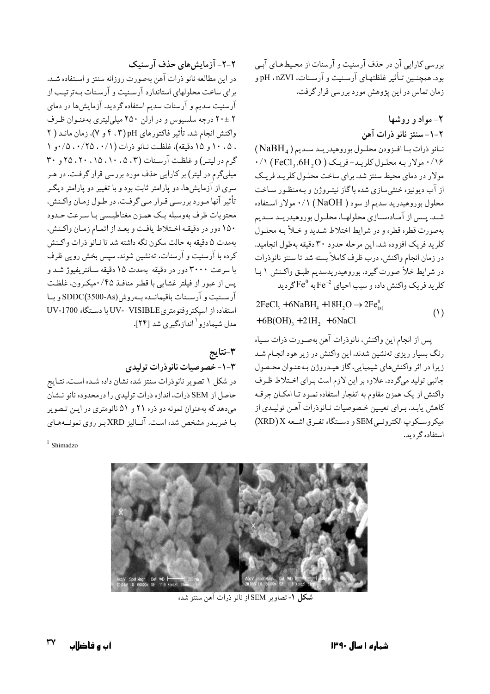بررسی کارایی آن در حذف آرسنیت و آرسنات از محیطهای آببی بود. همچنـین تـأثیر غلظتهـای آرسـنیت و آرسـنات، pH . nZVIو زمان تماس در این یژوهش مورد بررسی قرار گرفت.

> ۲- مواد و روشها ٢-١-سنتز نانو ذرات آهن

نانو ذرات با افزودن محلول بوروهيدريند سنديم (NaBH<sub>4</sub>)  $\cdot$ / ۱۶ مولار بـه محلـول کلریـد-فریـک ( FeCl3.6H2O ) ۰/۱ مولار در دمای محیط سنتز شد. برای ساخت محلـول کلریـد فریـک از آب دیونیزه خنثی سازی شده باگاز نیتـروژن و بـهمنظـور سـاخت محلول بوروهیدرید سدیم از سود ( NaOH) ۰/۱ مولار استفاده شـد. پـس از آمـادهسـازي محلولهـا، محلـول بوروهيدريـد سـديم بهصورت قطره قطره و در شرايط اختلاط شـديد و خـلأ بـه محلـول كلريد فريك افزوده شد. اين مرحله حدود ٣٠ دقيقه بهطول انجاميد. در زمان انجام واكنش، درب ظرف كاملاً بسته شد تا سنتز نانوذرات در شرایط خلأ صورت گیرد. بوروهیدریدسدیم طبـق واكـنش ١ بـا کلر پد فریک واکنش داده و سبب احیای  $\mathrm{Fe}^{4}$  به  $\mathrm{Fe}^{9}$ گر دید

 $2FeCl<sub>3</sub> + 6NaBH<sub>4</sub> + 18H<sub>2</sub>O \rightarrow 2Fe<sub>cs</sub><sup>0</sup>$  $(1)$  $+6B(OH)$ <sub>3</sub> + 21H<sub>2</sub> + 6NaCl

پس از انجام این واکنش، نانوذرات آهن بهصورت ذرات سیاه رنگ بسیار ریزی تهنشین شدند. این واکنش در زیر هود انجـام شـد زيرا در اثر واكنش،اي شيميايي،گاز هيـدروژن بـهعنـوان محـصول جانبی تولید میگردد. علاوه بر این لازم است برای اختلاط ظرف واکنش از یک همزن مقاوم به انفجار استفاده نمـود تـا امکـان جرقـه كاهش يابـد. بـراي تعيـين خـصوصيات نـانوذرات آهـن توليـدي از ميكروسكوپ الكترونمي SEM و دستگاه تفرق اشعه X(XRD) استفاده گ دید.

۲-۲- آزمایش های حذف آرسنیک

در این مطالعه نانو ذرات آهن بهصورت روزانه سنتز و استفاده شـد. برای ساخت محلولهای استاندارد آرسـنیت و آرسـنات بـهترتیـب از .<br>آرسنیت سدیم و آرسنات سدیم استفاده گردید. آزمایش ها در دمای ۲ ±۲۰ درجه سلسیوس و در ارلن ۲۵۰ میلی لیتری بهعنـوان ظـرف واكنش انجام شد. تأثير فاكتورهاي pH(۴.۳ و ۷)، زمان مانـد ( ۲ ، ۰۵، ۱۰ و ۱۵ دقیقه)، غلظت نـانو ذرات (۰/۱، ۰/۲۵، ۰/۰و ۱ گرم در لیتر) و غلظت آرسنات (۵،۳، ۱۵،۱۰، ۲۵، ۲۰ و ۳۰ میلیگرم در لیتر) بر کارایی حذف مورد بررسی قرار گرفت. در هـر سری از آزمایشها، دو پارامتر ثابت بود و با تغییر دو پارامتر دیگـر تأثير آنها مـورد بررسـي قـرار مـي گرفـت. در طـول زمـان واكـنش، محتويات ظرف بەوسيلە يك همـزن مغناطيـسى بـا سـرعت حـدود ١٥٠ دور در دقيقـه اخـتلاط يافـت و بعـد از اتمـام زمـان واكـنش، بهمدت ۵ دقیقه به حالت سکون نگه داشته شد تا نـانو ذرات واکـنش کرده با آرسنیت و آرسنات، تەنشین شوند. سپس بخش رویبی ظرف با سرعت ۳۰۰۰ دور در دقیقه بهمدت ۱۵ دقیقه سـانتریفیوژ شـد و يس از عبور از فيلتر غشايي با قطـر منافـذ ۰/۴۵ميكـرون، غلظـت آرسـنيت و آرسـنات باقيمانـده بـهروش(As)SDDC و بـا استفاده از اسيكتروفتومتري UV- VISIBLE با دستگاه UV-1700 مدا ، شیماد; و ` انداز هگیری شد [۲۴].

## ٣-نتايج ۰-۳-خصوصیات نانوذرات تولیدی

در شکل ۱ تصویر نانوذرات سنتز شده نشان داده شـده اسـت. نتـایج حاصل از SEM ذرات، اندازه ذرات تولیدی را درمحدوده نانو نـشان می دهد که به عنوان نمونه دو ذره ۲۱ و ۵۱ نانومتری در ایـن تـصویر بـا ضربـدر مشخص شده اسـت. آنــاليز XRD بـر روى نمونــههـاي

 $1$  Shimadzo



شكل ١- تصاوير SEM از نانو ذرات آهن سنتز شده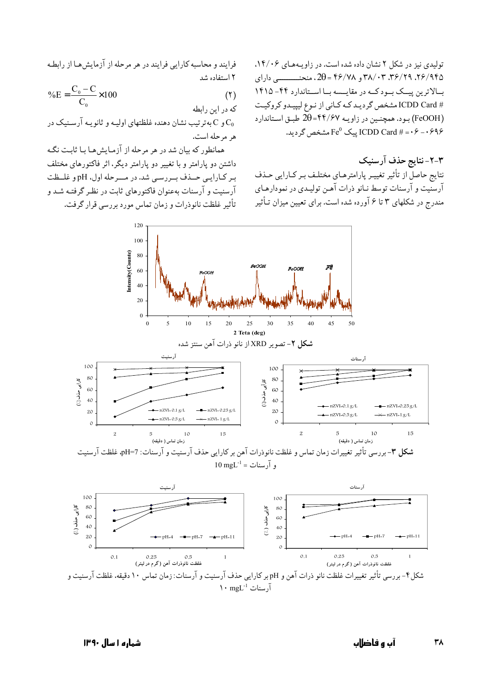تولیدی نیز در شکل ۲ نشان داده شده است. در زاویههای ۱۴/۰۶. ۲۶/۹۴۵، ۳۶/۲۹، ۳۸/۰۳، ۳۸/۰۳ و ۴۶/۷۸ = 20، منحنــــــــــــی دارای بالاترین پیک بودکه در مقایسه با استاندارد ۴۴- ۱۴۱۵ # ICDD Card مشخص گرديـد كـه كـاني از نـوع ليپيـدو كروكيـت (FeOOH) بود. همچنین در زاویـه ۴۴/۶۷=20 طبـق اسـتاندارد  $\text{F}e^0$  مشخص گردید. ICDD Card # = ۰ ۶ مشخص گردید.

۲-۲-نتایج حذف آرسنیک نتايج حاصل از تأثير تغييـر پارامترهـاي مختلـف بـر كـارايي حـذف آرسنیت و آرسنات توسط نـانو ذرات آهـن تولیـدي در نمودارهـاي مندرج در شکلهای ۳ تا ۶ آورده شده است. برای تعیین میزان تـأثیر

فرایند و محاسبه کارایی فرایند در هر مرحله از آزمایش هـا از رابطـه ٢ استفاده شد

$$
\%E = \frac{C_0 - C}{C_0} \times 100
$$
\n<sup>(1)</sup>

که در این رابطه و C به ترتیب نشان دهنده غلظتهای اولیـه و ثانو یـه آرسـنیک در g هر مرحله است.

همانطور که بیان شد در هر مرحله از آزمیایش هیا بیا ثابت نگبه داشتن دو پارامتر و با تغییر دو پارامتر دیگر، اثر فاکتورهای مختلف ب کیارایے حیدف سے رسے شد. در میے حله اول، pH و غلیظت آرسنیت و آرسنات بهعنوان فاکتورهای ثابت در نظر گرفتـه شـد و تأثير غلظت نانوذرات و زمان تماس مورد بررسي قرار گرفت.



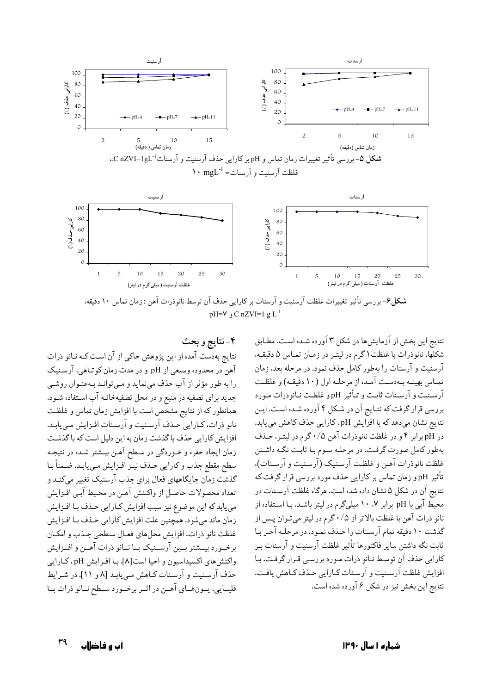

pH= $V$ , C nZVI=1 g L<sup>-1</sup>

۴-نتايج و بحث نتایج بهدست آمده از این پژوهش حاکی از آن است کـه نـانو ذرات آهن در محدوده وسیعی از pH و در مدت زمان کوتـاهی، آرسـنیک را به طور مؤثر از آب حذف مي نمايد و مـي توانـد بـهعنـوان روشـي جدید برای تصفیه در منبع و در محل تصفیهخانـه آب اسـتفاده شـود. همانطور كه از نتايج مشخص است با افزايش زمان تماس و غلظت نانو ذرات، كـارايي حـذف آرسـنيت و آرسـنات افـزايش مـيLيابـد. افزایش کارایی حذف با گذشت زمان به این دلیل است که با گذشت زمان ايجاد حفره و خـوردگي در سـطح آهـن بيـشتر شـده در نتيجـه سطح مقطع جذب و كارايي حـذف نيـز افـزايش مـي يابـد. ضـمناً بـا گذشت زمان جایگاههای فعال برای جذب آرسنیک تغییر میکند و تعداد محصولات حاصل از واكـنش آهـن در محـيط آبـي افـزايش می یابد که این موضوع نیز سبب افزایش کارایی حـذف بـا افـزایش زمان ماند مي شود. همچنين علت افزايش كارايي حـذف بـا افـزايش غلظت نانو ذرات، افزايش محلهاي فعـال سـطحى جـذب و امكـان برخسورد بيسشتر بسين آرسسنيك بسا نسانو ذرات آهسن و افسزايش واكنش هاي اكسيداسيون و احيا است[A]. بـا افـزايش pH، كـارايي حذف آرسنیت و آرسنات کیاهش مبی یابید [۸ و ۱۱]. در شرایط قليـايي، يــونهــاي آهــن در اثــر برخــورد ســطح نــانو ذرات بــا نتايج اين بخش از آزمايش،ا در شكل ٣ آورده شـده اسـت. مطـابق شکلها، نانوذرات با غلظت ۱ گرم در لیتـر در زمـان تمـاس ۵ دقیقـه، آرسنیت و آرسنات را بهطور کامل حذف نمود. در مرحله بعد، زمان تماس بهينـه بـهدسـت آمـده از مرحلـه اول (١٠ دقيقـه) و غلظـت آرسنيت و آرسنات ثابت و تـأثير pH و غلظت نـانوذرات مـورد بررسی قرار گرفت که نتـایج آن در شـکل ۴ آورده شـده اسـت. ایـن نتايج نشان مىدهد كه با افزايش pH، كارايي حذف كاهش مى يابد. در pH برابر ۴ و در غلظت نانوذرات آهن ۰/۵ گرم در لیتـر، حـذف بهطور كامل صورت گرفت. در مرحلـه سـوم بـا ثابـت نگـه داشـتن غلظت نانوذرات آهـن و غلظـت آرسـنيک (آرسـنيت و آرسـنات). تأثیر pHو زمان تماس بر کارایی حذف مورد بررسی قرار گرفت که نتايج آن در شكل ۵ نشان داده شده است. هرگاه غلظت آرسـنات در محیط آبی با pH برابر ۰،۷ ^۱۰ میلیگرم در لیتر باشد، بـا اسـتفاده از نانو ذرات آهن با غلظت بالاتر از ۰/۵ گرم در لیتر میتوان پـس از گذشت ۱۰ دقیقه تمام آرسنات را حـذف نمـود. در مرحلـه آخـر بـا ثابت نگه داشتن سایر فاکتورها تأثیر غلظت آرسنیت و آرسنات بـر كارايي حذف آن توسط نـانو ذرات مـورد بررسـي قـرار گرفـت. بـا افزایش غلظت آرسنیت و آرسنات کـارایی حـذف کـاهش یافـت. نتايج اين بخش نيز در شكل ۶ آورده شده است.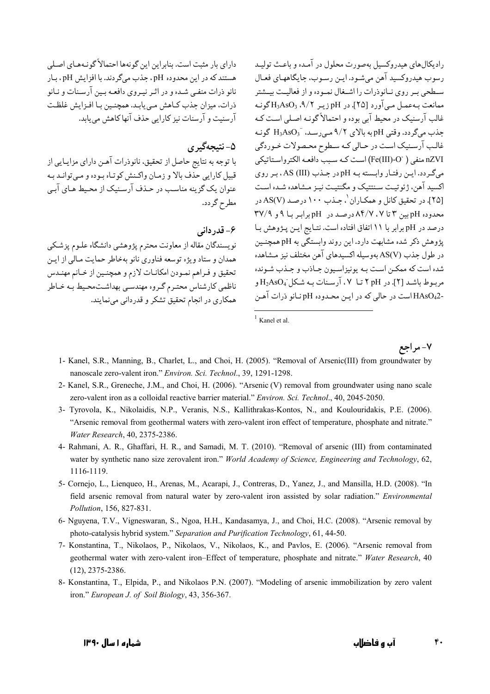دارای بار مثبت است. بنابراین این گونهها احتمالاً گونـههـای اصـلی هستند که در این محدوده pH ، جذب میگردند. با افزایش pH ، بـار نانو ذرات منفـي شـده و در اثـر نيـروي دافعـه بـين آرسـنات و نـانو ذرات، میزان جذب کـاهش مـی یابـد. همچنـین بـا افـزایش غلظـت آرسنیت و آرسنات نیز کارایی حذف آنها کاهش می یابد.

۵- نتيجهگير ي

با توجه به نتايج حاصل از تحقيق، نانوذرات آهـن داراي مزايـايي از قبيل كارايي حذف بالا و زمان واكنش كوتـاه بـوده و مـي توانـد بـه عنوان یک گزینه مناسب در حـذف آرسـنیک از محـیط هـای آبـی مطرح گردد.

# ۶- قدر دانب

نویسندگان مقاله از معاونت محترم پژوهشی دانشگاه علـوم پزشـکی همدان و ستاد ویژه توسعه فناوری نانو بهخاطر حمایت مـالی از ایـن تحقيق و فـراهم نمـودن امكانـات لازم و همچنـين از خـانم مهنـدس ناظمی کارشناس محتـرم گـروه مهندسـی بهداشـتمحـیط بـه خـاطر همکاری در انجام تحقیق تشکر و قدردانی می نمایند.

رادیکال های هیدروکسیل بهصورت محلول در آمـده و باعـث تولیـد رسوب هيدروكسيد آهن مي شـود. ايـن رسـوب، جايگاههـاي فعـال سطحی بـر روی نــانوذرات را اشــغال نمــوده و از فعالیــت بیــشتر ممانعت پەعمىل مے آورد [۲۵]. در pH زېبر ۹/۲، H3AsO3 گونيە غالب آرسنیک در محیط آبی بوده و احتمالاً گونـه اصـلی اسـت کـه جذب مي گردد. وقتى pH به بالاي ٩/٢ مى رسـد، H3AsO3 گونـه غالب آرسنیک است در حـالی کـه سـطوح محـصولات خـوردگی nZVI منفى ( Fe(III)-O ) است كـه سـبب دافعـه الكترواسـتاتيكي می گردد. این رفتار وابسته به pH در جـذب (III) AS، بـر روی اكسيد آهن، ژئوتيت سنتتيك و مگنتيت نيـز مـشاهده شـده اسـت [۲۵]. در تحقیق کانل و همکـاران <sup>۱</sup>، جـذب ۱۰۰ درصـد (AS(V در محدوده pHیین ۳ تا ۸۴/۷،۷ درصد در pH برابر با ۹ و ۳۷/۹ درصد در pH برابر با ١١ اتفاق افتاده است. نتـايج ايـن پـژوهش بـا یژوهش ذکر شده مشابهت دارد. این روند وابستگی به pH همچنـین در طول جذب (AS(V بهوسیله اکسیدهای آهن مختلف نیز مشاهده شده است که ممکـن اسـت بـه يونيزاسـيون جـاذب و جـذب شـونده مربوط باشد [٢]. در pH ٢ تا ٠٧، آرسنات به شكل  $\mathrm{H_{2}AsO_{4}}$ و -HAsO42 است در حالي كه در ايـن محـدوده pH نـانو ذرات آهـن

۷- مر اجع

- 1- Kanel, S.R., Manning, B., Charlet, L., and Choi, H. (2005). "Removal of Arsenic(III) from groundwater by nanoscale zero-valent iron." Environ. Sci. Technol., 39, 1291-1298.
- 2- Kanel, S.R., Greneche, J.M., and Choi, H. (2006). "Arsenic (V) removal from groundwater using nano scale zero-valent iron as a colloidal reactive barrier material." Environ. Sci. Technol., 40, 2045-2050.
- 3- Tyrovola, K., Nikolaidis, N.P., Veranis, N.S., Kallithrakas-Kontos, N., and Koulouridakis, P.E. (2006). "Arsenic removal from geothermal waters with zero-valent iron effect of temperature, phosphate and nitrate." Water Research, 40, 2375-2386.
- 4- Rahmani, A. R., Ghaffari, H. R., and Samadi, M. T. (2010). "Removal of arsenic (III) from contaminated water by synthetic nano size zerovalent iron." World Academy of Science, Engineering and Technology, 62, 1116-1119.
- 5- Cornejo, L., Lienqueo, H., Arenas, M., Acarapi, J., Contreras, D., Yanez, J., and Mansilla, H.D. (2008). "In field arsenic removal from natural water by zero-valent iron assisted by solar radiation." Environmental Pollution, 156, 827-831.
- 6- Nguyena, T.V., Vigneswaran, S., Ngoa, H.H., Kandasamya, J., and Choi, H.C. (2008). "Arsenic removal by photo-catalysis hybrid system." Separation and Purification Technology, 61, 44-50.
- 7- Konstantina, T., Nikolaos, P., Nikolaos, V., Nikolaos, K., and Pavlos, E. (2006). "Arsenic removal from geothermal water with zero-valent iron-Effect of temperature, phosphate and nitrate." Water Research, 40  $(12)$ , 2375-2386.
- 8- Konstantina, T., Elpida, P., and Nikolaos P.N. (2007). "Modeling of arsenic immobilization by zero valent iron." European J. of Soil Biology, 43, 356-367.

۴٠

 $1$  Kanel et al.